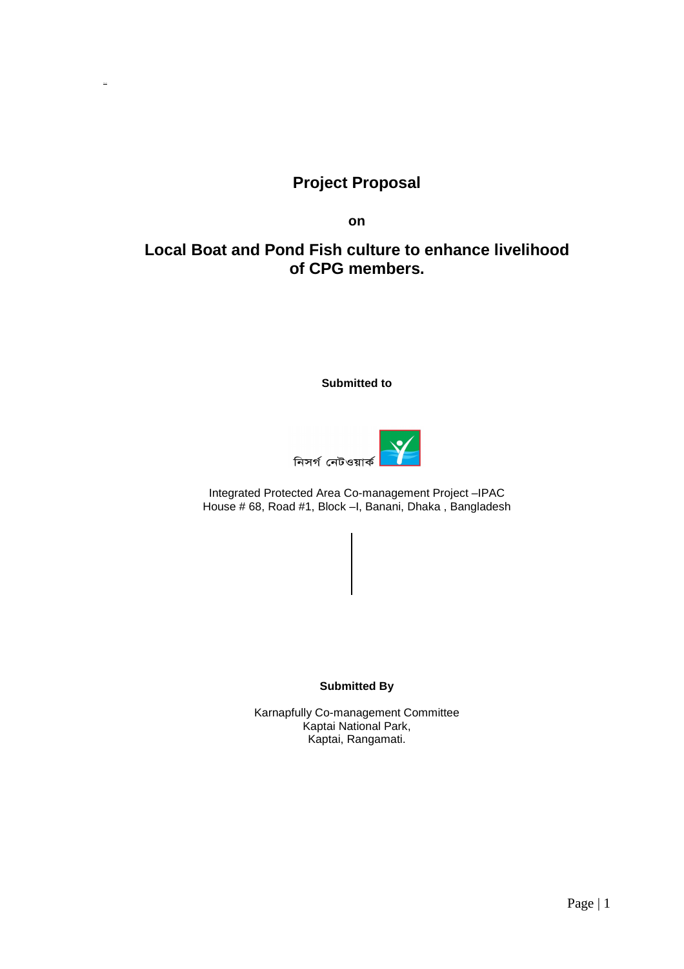## **Project Proposal**

**on** 

# **Local Boat and Pond Fish culture to enhance livelihood of CPG members.**

**Submitted to** 



Integrated Protected Area Co-management Project –IPAC House # 68, Road #1, Block –I, Banani, Dhaka , Bangladesh

**Submitted By** 

Karnapfully Co-management Committee Kaptai National Park, Kaptai, Rangamati.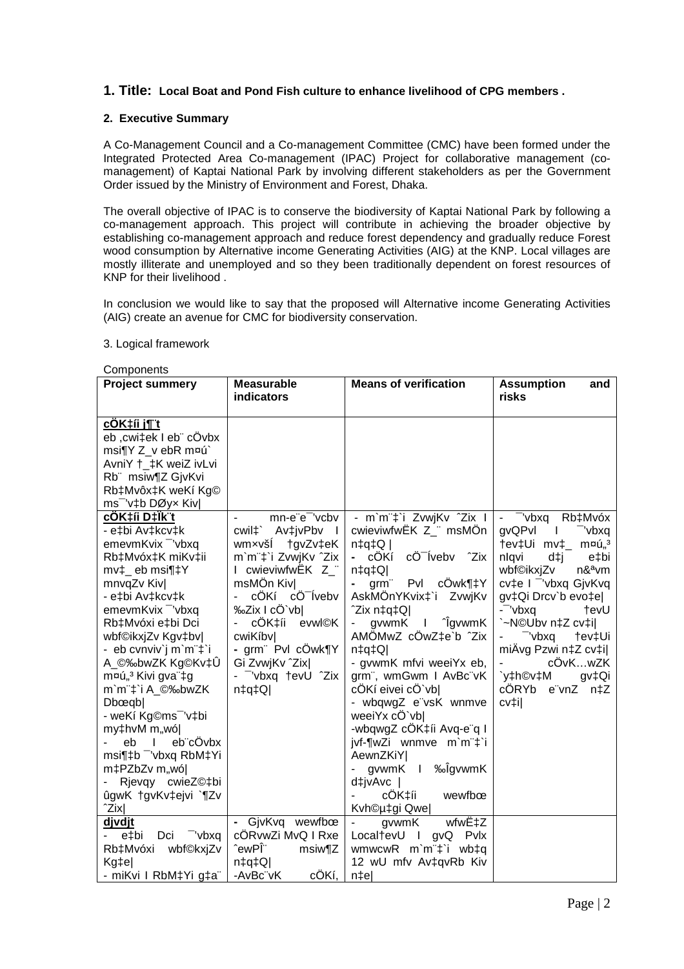## **1. Title: Local Boat and Pond Fish culture to enhance livelihood of CPG members .**

#### **2. Executive Summary**

A Co-Management Council and a Co-management Committee (CMC) have been formed under the Integrated Protected Area Co-management (IPAC) Project for collaborative management (comanagement) of Kaptai National Park by involving different stakeholders as per the Government Order issued by the Ministry of Environment and Forest, Dhaka.

The overall objective of IPAC is to conserve the biodiversity of Kaptai National Park by following a co-management approach. This project will contribute in achieving the broader objective by establishing co-management approach and reduce forest dependency and gradually reduce Forest wood consumption by Alternative income Generating Activities (AIG) at the KNP. Local villages are mostly illiterate and unemployed and so they been traditionally dependent on forest resources of KNP for their livelihood .

In conclusion we would like to say that the proposed will Alternative income Generating Activities (AIG) create an avenue for CMC for biodiversity conservation.

#### 3. Logical framework

#### Components

| Components<br><b>Project summery</b>           | <b>Measurable</b>             | <b>Means of verification</b>        | <b>Assumption</b><br>and                        |
|------------------------------------------------|-------------------------------|-------------------------------------|-------------------------------------------------|
|                                                | indicators                    |                                     | risks                                           |
| cÖK‡íi j¶ʻt                                    |                               |                                     |                                                 |
| eb, cwi‡ek I eb" cÖvbx                         |                               |                                     |                                                 |
| msi¶Y Z_v ebR m¤ú`                             |                               |                                     |                                                 |
| AvniY +_‡K weiZ ivLvi                          |                               |                                     |                                                 |
| Rb" msiw¶Z GjvKvi                              |                               |                                     |                                                 |
| Rb‡Mvôx‡K weKí Kg©                             |                               |                                     |                                                 |
| ms <sup>-</sup> 'v‡b DØyx Kiv                  |                               |                                     |                                                 |
| <u>cÖK‡íi D‡Ïk¨t</u>                           | mn-e"e" 'vcbv                 | - m`m¨‡`i ZvwjKv ^Zix I             | $\overline{-}$ $\overline{-}$ 'vbxq'<br>Rb‡Mvóx |
| - e‡bi Av‡kcv‡k                                | cwil‡` Av‡jvPbv I             | cwieviwfwEK Z_" msMÖn               | gvQPvl<br>"vbxq<br>$\perp$                      |
| emevmKvix <sup>-</sup> 'vbxq                   | tgvZv‡eK<br>wm×všl            | $n \downarrow q \downarrow Q$       | †ev‡Ui mv‡_ m¤ú" <sup>3</sup>                   |
| Rb‡Mvóx‡K miKv‡ii                              | m'm"‡'i ZvwjKv 'Zix           | cÖ Íveby <sup>2</sup> Zix<br>- cÖKí | nlqvi<br>d‡j<br>e‡bi                            |
| mv‡_ eb msi¶‡Y                                 | I cwieviwfwEK Z_"             | $ Q$ ‡p‡n                           | wbf©ikxjZv<br>n&ªvm                             |
| mnvqZv Kiv                                     | msMÖn Kiv                     | Pvl cÖwk¶‡Y<br>grm"                 | cv‡e I <sup>-</sup> 'vbxq GjvKvq                |
| - e‡bi Av‡kcv‡k                                | cÖKí cÖ <sup>-</sup> Ívebv    | AskMÖnYKvix‡`i ZvwjKv               | gv‡Qi Drcv`b evo‡e                              |
| emevmKvix <sup>-</sup> 'vbxq                   | %2ix I cÖ`vb                  | ^Zix n‡q‡Q                          | - 'vbxq'<br>tevU                                |
| Rb‡Mvóxi e‡bi Dci                              | cÖK‡íi evwl©K                 | l <sup>^</sup> ÎgvwmK<br>gvwmK      | `~N©Ubv n‡Z cv‡i                                |
| wbf©ikxjZv Kgv‡bv                              | cwiKíbvl                      | AMÖMwZ cÖwZ‡e`b ^Zix                | "vbxq<br>†ev‡Ui                                 |
| - eb cvnviv`j m`m¨‡`i                          | - grm <sup>"</sup> Pvl cÖwk¶Y | $n \downarrow q \downarrow Q$       | miÂvg Pzwi n‡Z cv‡i                             |
| A_©‰bwZK Kg©Kv‡Û                               | Gi ZvwjKv ^Zix                | - gvwmK mfvi weeiYx eb,             | cÖvKwZK                                         |
| m¤ú" <sup>3</sup> Kivi gva"‡g                  | - "vbxq tevU "Zix             | grm", wmGwm I AvBc"vK               | `y‡h©v‡M<br>gv‡Qi                               |
| m`m¨‡`i A_©‰bwZK                               | $n \downarrow q \downarrow Q$ | cÖKí eivei cÖ`vbl                   | cÖRYb e"vnZ n‡Z                                 |
| D <sub>b</sub> œqb                             |                               | - wbqwgZ e"vsK wnmve                | cv‡i                                            |
| - weKí Kg©ms <sup>-</sup> 'v‡bi                |                               | weeiYx cO`vbl                       |                                                 |
| my‡hvM m"wó <br>eb"cÖvbx<br>eb<br>$\mathbf{L}$ |                               | -wbqwgZ cÖK‡íi Avq-e"q I            |                                                 |
| msi¶‡b <sup>-</sup> 'vbxq RbM‡Yi               |                               | jvf-¶wZi wnmve m`m"‡`i<br>AewnZKiY  |                                                 |
| m‡PZbZv m"wó                                   |                               | gvwmK I ‰ÎgvwmK                     |                                                 |
| Rjevqy cwieZ©‡bi                               |                               | d‡jvAvc                             |                                                 |
| ûgwK tgvKvtejvi `¶Zv                           |                               | cÖK‡íi<br>wewfbœ                    |                                                 |
| ^Zix                                           |                               | Kvh©µ‡gi Qwe                        |                                                 |
| <u>djvdjt</u>                                  | GjvKvq wewfbœ                 | wfwˇZ<br>gvwmK<br>$\sim$            |                                                 |
| "vbxq<br>Dci<br>e‡bi                           | cÖRvwZi MvQ I Rxe             | Local†evU I gvQ Pvlx                |                                                 |
| Rb‡Mvóxi wbf©kxjZv                             | ˆewPΨ<br>msiw¶Z               | wmwcwR m`m <sup>"</sup> #`i wb‡q    |                                                 |
| Kg‡e                                           | $n \downarrow q \downarrow Q$ | 12 wU mfv Av‡qvRb Kiv               |                                                 |
| - miKvi I RbM‡Yi g‡a"                          | cÖKí,<br>-AvBc"vK             | n‡e                                 |                                                 |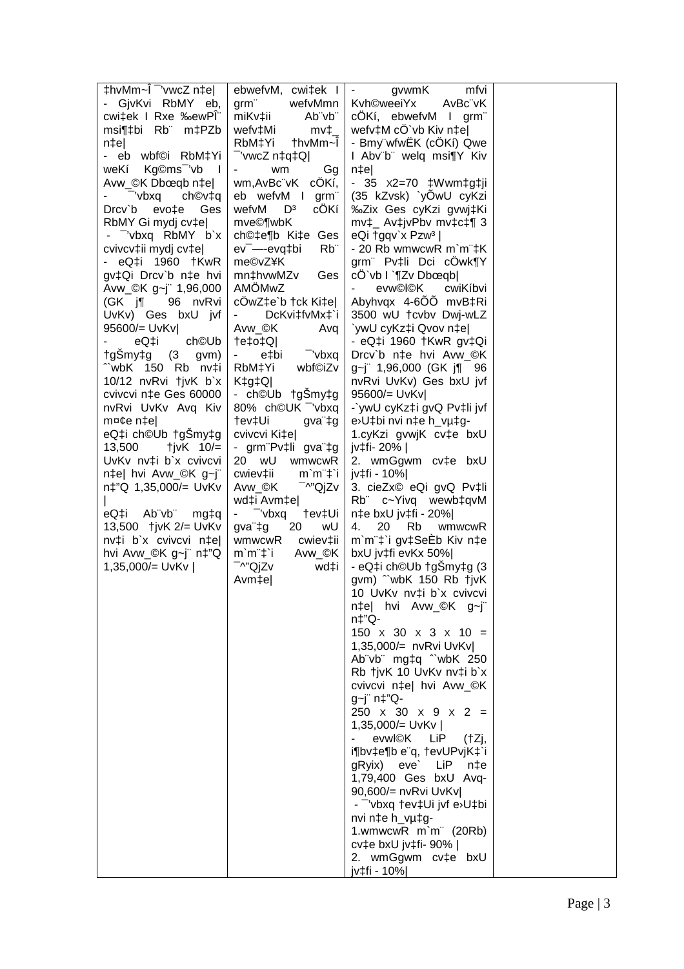| thvMm~I <sup>-</sup> 'vwcZ n‡e       | $ebwefvM$ , cwi $\ddagger ek$ I $\vert$ -                                                                  | gvwmK<br>mfvi                                                   |  |
|--------------------------------------|------------------------------------------------------------------------------------------------------------|-----------------------------------------------------------------|--|
| - GjvKvi RbMY eb,                    | wefvMmn<br>grm"                                                                                            | Kvh©weeiYx<br>AvBc"vK                                           |  |
| cwi‡ek I Rxe ‰ewPÏ                   | Ab"vb"<br>miKv‡ii                                                                                          | cÖKí, ebwefvM I grm                                             |  |
| msi¶‡bi Rb m‡PZb                     | wefv‡Mi<br>$mv_{\perp}$                                                                                    | wefv‡M cÔ`vb Kiv n‡e                                            |  |
| $n \uparrow e$                       | †hvMm~Ï<br>RbM‡Yi                                                                                          | - Bmy wfwEK (cÖKí) Qwe                                          |  |
| - eb wbf©i RbM‡Yi                    | "'vwcZ n‡q‡Q                                                                                               | I Abv"b" welq msi¶Y Kiv                                         |  |
| weKí Kg©ms <sup>-</sup> 'vb I        | Gg<br>$\sim 100$<br>wm                                                                                     | $n \uparrow e$                                                  |  |
| Avw_©K Dbœqb n‡e                     | wm, AvBc"vK cÖKí,                                                                                          | - 35 $x2=70$ $\downarrow$ Wwm $\downarrow$ g $\downarrow$ ji    |  |
| - 'vbxq'<br>$ch@v{\ddagger}q$        | eb wefvM I<br>grm"                                                                                         | (35 kZvsk) `yOwU cyKzi                                          |  |
| Drcv`b evo‡e Ges                     | cÖKí<br>wefvM<br>$\mathsf{D}^3$                                                                            | ‰Zix Ges cyKzi gvwj‡Ki                                          |  |
| RbMY Gi mydj cv‡e                    | mve©¶wbK                                                                                                   | $mv\ddagger$ Av $\ddagger$ jvPbv mv $\ddagger$ c $\ddagger$ ¶ 3 |  |
| - vbxq RbMY b`x                      | ch©‡e¶b Ki‡e Ges                                                                                           | eQi $\frac{1}{2}$ gqv'x Pzw <sup>3</sup>                        |  |
| cvivcv‡ii mydj cv‡e                  | $Rb$ "<br>ev <sup>-</sup> -evq‡bi                                                                          | - 20 Rb wmwcwR m`m"‡K                                           |  |
| - eQ‡i 1960 †KwR                     | me©vZ¥K                                                                                                    | grm Pv‡li Dci cÔwk¶Y                                            |  |
| gv‡Qi Drcv`b n‡e hvi                 | mn‡hvwMZv<br>Ges                                                                                           | $cO'$ vb $l$ $\P Zv$ Dboeqb                                     |  |
| Avw_©K g~j" 1,96,000                 | AMÖMwZ                                                                                                     | evw©l©K<br>cwiKíbvi                                             |  |
| (GK j¶ 96 nvRvi                      | cÔwZ‡e`b †ck Ki‡e                                                                                          | Abyhvqx 4-600 mvB‡Ri                                            |  |
| UvKv) Ges bxU jvf                    | DcKvi‡fvMx‡`i<br>$\sim 100$                                                                                | 3500 wU tcvbv Dwj-wLZ                                           |  |
| 95600/= UvKv                         | Avw_©K<br>Avq                                                                                              | `ywU cyKz‡i Qvov n‡e                                            |  |
| eQ‡i<br>ch©Ub                        | Q‡o‡Q                                                                                                      | - eQ‡i 1960 †KwR gv‡Qi<br>Drcv`b n‡e hvi Avw_©K                 |  |
| †gŠmy‡g (3 gvm)<br>^`wbK 150 Rb nv‡i | "vbxq<br>e‡bi<br>e i<br>wbf©iZv<br>RbM‡Yi                                                                  | g~j" 1,96,000 (GK j¶ 96                                         |  |
| 10/12 nvRvi †jvK b`x                 | $K$ <sup><math>\downarrow</math><math>g</math><math>\downarrow</math><math>Q</math><math>\mid</math></sup> | nvRvi UvKv) Ges bxU jvf                                         |  |
| cvivcvi n‡e Ges 60000                | - ch©Ub †gSmy‡g                                                                                            | 95600/= UvKv                                                    |  |
| nvRvi UvKv Avq Kiv                   | 80% ch©UK vbxq                                                                                             | -`ywU cyKz‡i gvQ Pv‡li jvf                                      |  |
| m¤¢e n‡e                             | †ev‡Ui<br>gva"‡g                                                                                           | e>U‡bi nvi n‡e h_vµ‡g-                                          |  |
| eQ‡i ch©Ub †gSmy‡g                   | cvivcvi Ki‡e                                                                                               | 1.cyKzi gvwjK cv‡e bxU                                          |  |
| 13,500<br>$\frac{1}{\sqrt{2}}$ 10/=  | - grm <sup>-</sup> Pv‡li gva <sup>-</sup> ‡g                                                               | jv‡fi- 20%                                                      |  |
| UvKv nv‡i b`x cvivcvi                | 20 wU wmwcwR                                                                                               | 2. wmGgwm cv‡e bxU                                              |  |
| n‡e  hvi Avw_©K g~j"                 | cwiev‡ii<br>$m'm''\ddagger i$                                                                              | jv‡fi - 10%                                                     |  |
| n‡"Q 1,35,000/= UvKv                 | Avw_©K<br>⊤^"QjZv                                                                                          | 3. cieZx© eQi gvQ Pv‡li                                         |  |
|                                      | wd‡i Avm‡e                                                                                                 | Rb" c~Yivq wewb‡qvM                                             |  |
| eQ‡i Ab¨vb¨<br>mg‡q                  | - $\overline{\phantom{a}}$ vbxq<br>†ev‡Ui                                                                  | n‡e bxU jv‡fi - 20%                                             |  |
|                                      | 20<br>gva"‡g<br>wU                                                                                         | wmwcwR<br>20 Rb<br>4.                                           |  |
| nv‡i b`x cvivcvi n‡e                 | wmwcwR cwiev‡ii                                                                                            | m`m¨‡`i gv‡SeĖb Kiv n‡e                                         |  |
| hvi Avw_©K g~j" n‡"Q                 | Avw_©K<br>m`m¨‡`i                                                                                          | bxU jv‡fi evKx 50%                                              |  |
| 1,35,000/= UvKv                      | <sup>−</sup> ^"QjZv<br>wd‡i                                                                                | - eQ‡i ch©Ub †gŠmy‡g (3                                         |  |
|                                      | Avm‡e                                                                                                      | gvm) "wbK 150 Rb tjvK                                           |  |
|                                      |                                                                                                            | 10 UvKv nv‡i b`x cvivcvi                                        |  |
|                                      |                                                                                                            | n‡e  hvi Avw_©K g~j"                                            |  |
|                                      |                                                                                                            | n‡"Q-                                                           |  |
|                                      |                                                                                                            | $150 \times 30 \times 3 \times 10 =$                            |  |
|                                      |                                                                                                            | 1,35,000/= nvRvi UvKv                                           |  |
|                                      |                                                                                                            | Ab"vb" mg‡q "wbK 250                                            |  |
|                                      |                                                                                                            | Rb tjvK 10 UvKv nv‡i b`x                                        |  |
|                                      |                                                                                                            | cvivcvi n‡e  hvi Avw_©K                                         |  |
|                                      |                                                                                                            | g~j" n‡"Q-                                                      |  |
|                                      |                                                                                                            | $250 \times 30 \times 9 \times 2 =$                             |  |
|                                      |                                                                                                            | 1,35,000/= UvKv                                                 |  |
|                                      |                                                                                                            | evwl©K<br>LiP<br>(tZj,                                          |  |
|                                      |                                                                                                            | i¶bv‡e¶b e"q, †evUPvjK‡`i                                       |  |
|                                      |                                                                                                            | gRyix) eve' LiP<br>n‡e                                          |  |
|                                      |                                                                                                            | 1,79,400 Ges bxU Avq-                                           |  |
|                                      |                                                                                                            | 90,600/= nvRvi UvKv                                             |  |
|                                      |                                                                                                            | - vbxq tev‡Ui jvf e>U‡bi                                        |  |
|                                      |                                                                                                            | nvi n‡e h_vµ‡g-                                                 |  |
|                                      |                                                                                                            | 1.wmwcwR m`m <sup>"</sup> (20Rb)<br>cv‡e bxU jv‡fi- 90%         |  |
|                                      |                                                                                                            | 2. wmGgwm cv‡e bxU                                              |  |
|                                      |                                                                                                            | jv‡fi - 10%                                                     |  |
|                                      |                                                                                                            |                                                                 |  |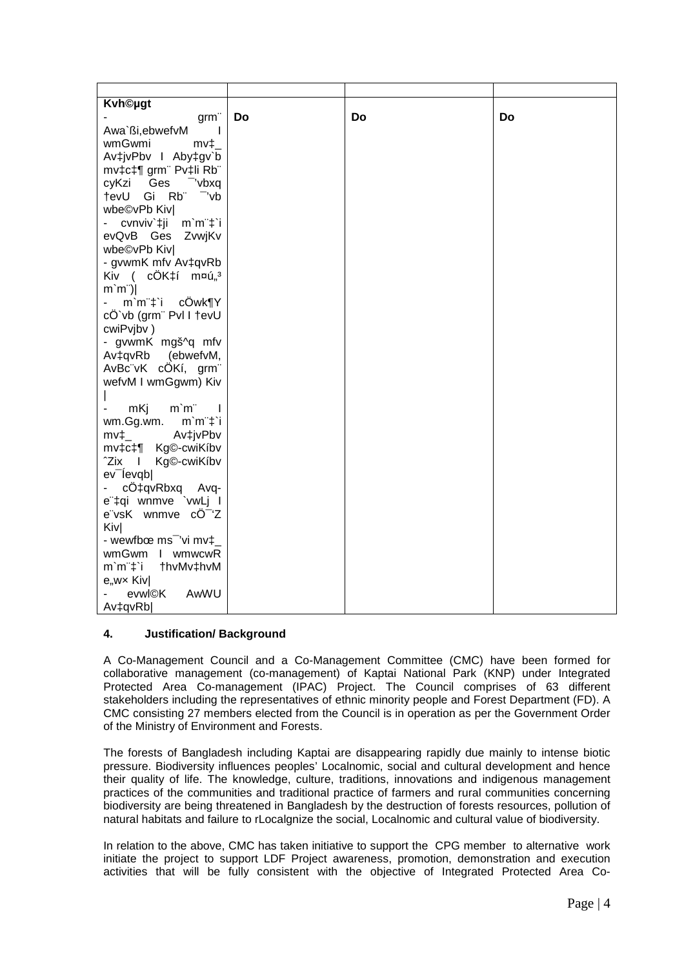| <b>Kvh©ugt</b>                                        |    |    |    |
|-------------------------------------------------------|----|----|----|
| grm"                                                  | Do | Do | Do |
| Awa`ßi, ebwefvM<br>$\mathbf{I}$                       |    |    |    |
| wmGwmi<br>$mv_{\perp}$                                |    |    |    |
| Av‡jvPbv I Aby‡gv`b                                   |    |    |    |
| mv‡c‡¶ grm" Pv‡li Rb"                                 |    |    |    |
| cyKzi<br>Ges <sup>-</sup> 'vbxq                       |    |    |    |
| tevU Gi Rb"<br>-'vb                                   |    |    |    |
|                                                       |    |    |    |
| wbe©vPb Kiv                                           |    |    |    |
| cvnviv`‡ji m`m <sup>-</sup> ‡`i                       |    |    |    |
| evQvB Ges<br>ZvwjKv                                   |    |    |    |
| wbe©vPb Kiv                                           |    |    |    |
| - gvwmK mfv Av‡qvRb                                   |    |    |    |
| Kiv (cÔK‡í m¤ú" <sup>3</sup>                          |    |    |    |
| $m'm$ ")                                              |    |    |    |
| $m'm''\ddagger i$ cOwk¶Y                              |    |    |    |
| cÖ`vb (grm¨ Pvl I †evU                                |    |    |    |
| cwiPvjbv)                                             |    |    |    |
| - gvwmK mgš^q mfv                                     |    |    |    |
| Av‡qvRb<br>(ebwefvM,                                  |    |    |    |
| AvBc"vK cÖKí, grm"                                    |    |    |    |
| wefvM I wmGgwm) Kiv                                   |    |    |    |
|                                                       |    |    |    |
| $m$ <sup>-<math>m</math></sup><br>mKj<br>$\mathbf{I}$ |    |    |    |
| $m'm''\ddagger i$<br>wm.Gg.wm.                        |    |    |    |
| Av‡jvPbv<br>$mv_{\perp}$                              |    |    |    |
| mv‡c‡¶<br>Kg©-cwiKíb∨                                 |    |    |    |
| ^Zix<br>Kg <sup>®</sup> -cwiKíbv<br>$\blacksquare$    |    |    |    |
| ev <sup>-</sup> levqb                                 |    |    |    |
| cÖ‡qvRbxq Avq-                                        |    |    |    |
| e"‡qi wnmve `vwLj l                                   |    |    |    |
| e"vsK wnmve cÖ <sup>-</sup> 'Z                        |    |    |    |
| <b>Kiv</b>                                            |    |    |    |
| - wewfbœ ms <sup>-</sup> 'vi mv‡_                     |    |    |    |
| wmGwm I wmwcwR                                        |    |    |    |
| $m'm''\ddagger i$<br>thvMv‡hvM                        |    |    |    |
| e,wx Kiv                                              |    |    |    |
| AwWU<br>evwl©K                                        |    |    |    |
| Av <sub>‡qvRb</sub>                                   |    |    |    |
|                                                       |    |    |    |

## **4. Justification/ Background**

A Co-Management Council and a Co-Management Committee (CMC) have been formed for collaborative management (co-management) of Kaptai National Park (KNP) under Integrated Protected Area Co-management (IPAC) Project. The Council comprises of 63 different stakeholders including the representatives of ethnic minority people and Forest Department (FD). A CMC consisting 27 members elected from the Council is in operation as per the Government Order of the Ministry of Environment and Forests.

The forests of Bangladesh including Kaptai are disappearing rapidly due mainly to intense biotic pressure. Biodiversity influences peoples' Localnomic, social and cultural development and hence their quality of life. The knowledge, culture, traditions, innovations and indigenous management practices of the communities and traditional practice of farmers and rural communities concerning biodiversity are being threatened in Bangladesh by the destruction of forests resources, pollution of natural habitats and failure to rLocalgnize the social, Localnomic and cultural value of biodiversity.

In relation to the above, CMC has taken initiative to support the CPG member to alternative work initiate the project to support LDF Project awareness, promotion, demonstration and execution activities that will be fully consistent with the objective of Integrated Protected Area Co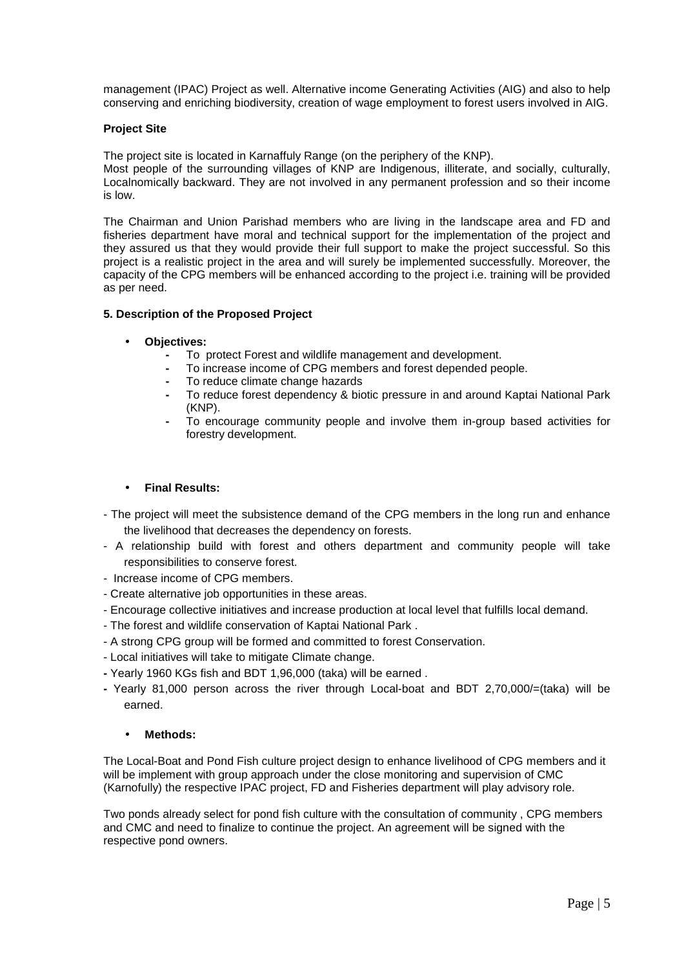management (IPAC) Project as well. Alternative income Generating Activities (AIG) and also to help conserving and enriching biodiversity, creation of wage employment to forest users involved in AIG.

#### **Project Site**

The project site is located in Karnaffuly Range (on the periphery of the KNP). Most people of the surrounding villages of KNP are Indigenous, illiterate, and socially, culturally, Localnomically backward. They are not involved in any permanent profession and so their income is low.

The Chairman and Union Parishad members who are living in the landscape area and FD and fisheries department have moral and technical support for the implementation of the project and they assured us that they would provide their full support to make the project successful. So this project is a realistic project in the area and will surely be implemented successfully. Moreover, the capacity of the CPG members will be enhanced according to the project i.e. training will be provided as per need.

#### **5. Description of the Proposed Project**

#### • **Objectives:**

- To protect Forest and wildlife management and development.
- To increase income of CPG members and forest depended people.
- To reduce climate change hazards
- To reduce forest dependency & biotic pressure in and around Kaptai National Park (KNP).
- To encourage community people and involve them in-group based activities for forestry development.

## • **Final Results:**

- The project will meet the subsistence demand of the CPG members in the long run and enhance the livelihood that decreases the dependency on forests.
- A relationship build with forest and others department and community people will take responsibilities to conserve forest.
- Increase income of CPG members.
- Create alternative job opportunities in these areas.
- Encourage collective initiatives and increase production at local level that fulfills local demand.
- The forest and wildlife conservation of Kaptai National Park .
- A strong CPG group will be formed and committed to forest Conservation.
- Local initiatives will take to mitigate Climate change.
- Yearly 1960 KGs fish and BDT 1,96,000 (taka) will be earned .
- **-** Yearly 81,000 person across the river through Local-boat and BDT 2,70,000/=(taka) will be earned.

## • **Methods:**

The Local-Boat and Pond Fish culture project design to enhance livelihood of CPG members and it will be implement with group approach under the close monitoring and supervision of CMC (Karnofully) the respective IPAC project, FD and Fisheries department will play advisory role.

Two ponds already select for pond fish culture with the consultation of community , CPG members and CMC and need to finalize to continue the project. An agreement will be signed with the respective pond owners.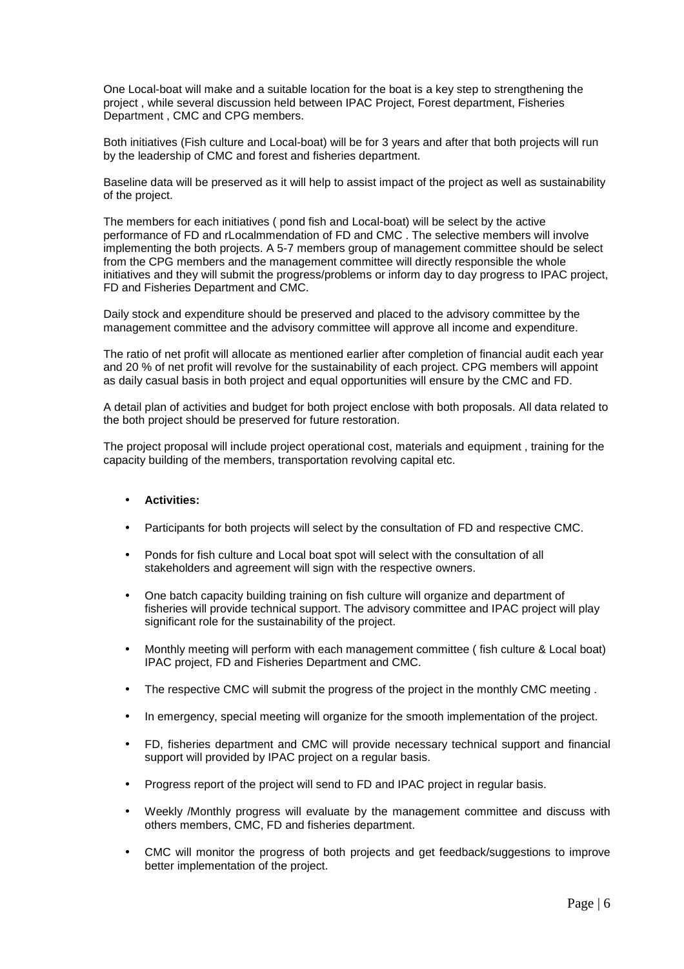One Local-boat will make and a suitable location for the boat is a key step to strengthening the project , while several discussion held between IPAC Project, Forest department, Fisheries Department , CMC and CPG members.

Both initiatives (Fish culture and Local-boat) will be for 3 years and after that both projects will run by the leadership of CMC and forest and fisheries department.

Baseline data will be preserved as it will help to assist impact of the project as well as sustainability of the project.

The members for each initiatives ( pond fish and Local-boat) will be select by the active performance of FD and rLocalmmendation of FD and CMC . The selective members will involve implementing the both projects. A 5-7 members group of management committee should be select from the CPG members and the management committee will directly responsible the whole initiatives and they will submit the progress/problems or inform day to day progress to IPAC project, FD and Fisheries Department and CMC.

Daily stock and expenditure should be preserved and placed to the advisory committee by the management committee and the advisory committee will approve all income and expenditure.

The ratio of net profit will allocate as mentioned earlier after completion of financial audit each year and 20 % of net profit will revolve for the sustainability of each project. CPG members will appoint as daily casual basis in both project and equal opportunities will ensure by the CMC and FD.

A detail plan of activities and budget for both project enclose with both proposals. All data related to the both project should be preserved for future restoration.

The project proposal will include project operational cost, materials and equipment , training for the capacity building of the members, transportation revolving capital etc.

#### • **Activities:**

- Participants for both projects will select by the consultation of FD and respective CMC.
- Ponds for fish culture and Local boat spot will select with the consultation of all stakeholders and agreement will sign with the respective owners.
- One batch capacity building training on fish culture will organize and department of fisheries will provide technical support. The advisory committee and IPAC project will play significant role for the sustainability of the project.
- Monthly meeting will perform with each management committee ( fish culture & Local boat) IPAC project, FD and Fisheries Department and CMC.
- The respective CMC will submit the progress of the project in the monthly CMC meeting .
- In emergency, special meeting will organize for the smooth implementation of the project.
- FD, fisheries department and CMC will provide necessary technical support and financial support will provided by IPAC project on a regular basis.
- Progress report of the project will send to FD and IPAC project in regular basis.
- Weekly /Monthly progress will evaluate by the management committee and discuss with others members, CMC, FD and fisheries department.
- CMC will monitor the progress of both projects and get feedback/suggestions to improve better implementation of the project.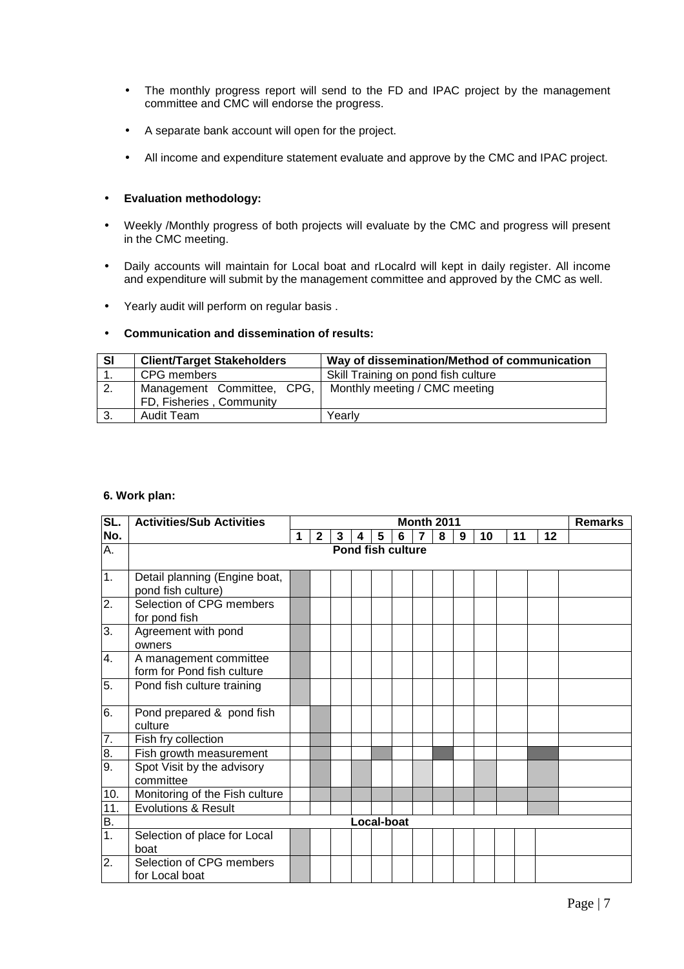- The monthly progress report will send to the FD and IPAC project by the management committee and CMC will endorse the progress.
- A separate bank account will open for the project.
- All income and expenditure statement evaluate and approve by the CMC and IPAC project.

## • **Evaluation methodology:**

- Weekly /Monthly progress of both projects will evaluate by the CMC and progress will present in the CMC meeting.
- Daily accounts will maintain for Local boat and rLocalrd will kept in daily register. All income and expenditure will submit by the management committee and approved by the CMC as well.
- Yearly audit will perform on regular basis .

## • **Communication and dissemination of results:**

| SI | <b>Client/Target Stakeholders</b>                      | Way of dissemination/Method of communication |
|----|--------------------------------------------------------|----------------------------------------------|
|    | CPG members                                            | Skill Training on pond fish culture          |
| 2. | Management Committee, CPG,<br>FD, Fisheries, Community | Monthly meeting / CMC meeting                |
| 3. | Audit Team                                             | Yearly                                       |

#### **6. Work plan:**

| SL.              | <b>Activities/Sub Activities</b>                     |   | <b>Month 2011</b> |   |                          |   |   |                |   | <b>Remarks</b> |    |    |    |  |
|------------------|------------------------------------------------------|---|-------------------|---|--------------------------|---|---|----------------|---|----------------|----|----|----|--|
| No.              |                                                      | 1 | $\mathbf{2}$      | 3 | 4                        | 5 | 6 | $\overline{7}$ | 8 | 9              | 10 | 11 | 12 |  |
| А.               |                                                      |   |                   |   | <b>Pond fish culture</b> |   |   |                |   |                |    |    |    |  |
|                  |                                                      |   |                   |   |                          |   |   |                |   |                |    |    |    |  |
| 1.               | Detail planning (Engine boat,<br>pond fish culture)  |   |                   |   |                          |   |   |                |   |                |    |    |    |  |
| $\overline{2}$ . | Selection of CPG members<br>for pond fish            |   |                   |   |                          |   |   |                |   |                |    |    |    |  |
| 3.               | Agreement with pond<br>owners                        |   |                   |   |                          |   |   |                |   |                |    |    |    |  |
| 4.               | A management committee<br>form for Pond fish culture |   |                   |   |                          |   |   |                |   |                |    |    |    |  |
| 5.               | Pond fish culture training                           |   |                   |   |                          |   |   |                |   |                |    |    |    |  |
| 6.               | Pond prepared & pond fish<br>culture                 |   |                   |   |                          |   |   |                |   |                |    |    |    |  |
| 7.               | Fish fry collection                                  |   |                   |   |                          |   |   |                |   |                |    |    |    |  |
| 8.               | Fish growth measurement                              |   |                   |   |                          |   |   |                |   |                |    |    |    |  |
| 9.               | Spot Visit by the advisory<br>committee              |   |                   |   |                          |   |   |                |   |                |    |    |    |  |
| 10.              | Monitoring of the Fish culture                       |   |                   |   |                          |   |   |                |   |                |    |    |    |  |
| 11.              | <b>Evolutions &amp; Result</b>                       |   |                   |   |                          |   |   |                |   |                |    |    |    |  |
| B.               |                                                      |   |                   |   | Local-boat               |   |   |                |   |                |    |    |    |  |
| 1.               | Selection of place for Local<br>boat                 |   |                   |   |                          |   |   |                |   |                |    |    |    |  |
| 2.               | Selection of CPG members<br>for Local boat           |   |                   |   |                          |   |   |                |   |                |    |    |    |  |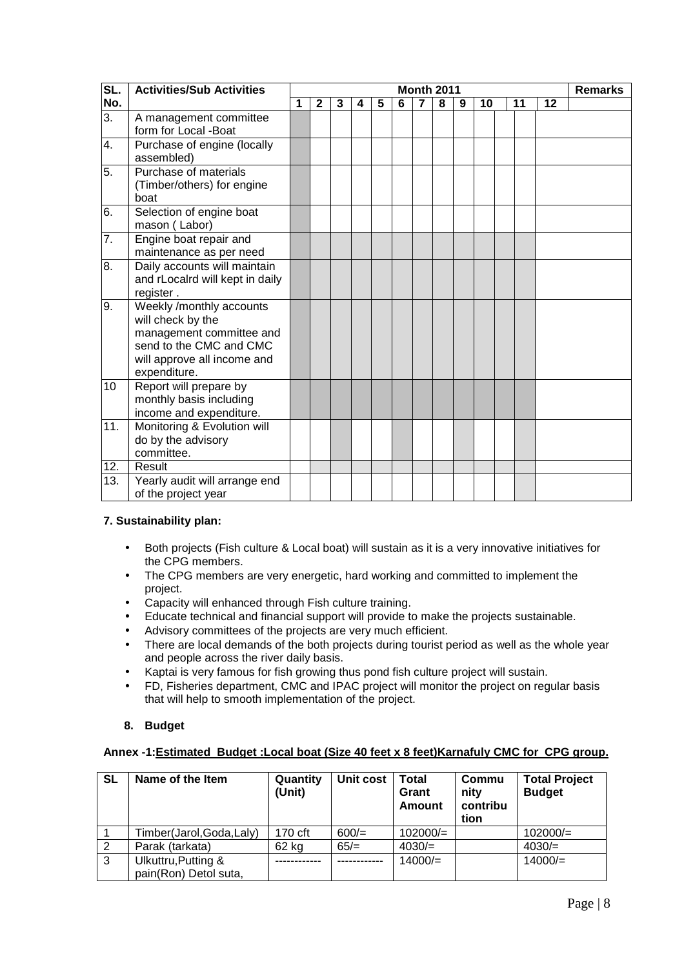| SL.              | <b>Activities/Sub Activities</b>                                                                                                                    | <b>Month 2011</b> |              |   |   |   |   |                |   | <b>Remarks</b> |    |    |    |  |
|------------------|-----------------------------------------------------------------------------------------------------------------------------------------------------|-------------------|--------------|---|---|---|---|----------------|---|----------------|----|----|----|--|
| No.              |                                                                                                                                                     | 1                 | $\mathbf{2}$ | 3 | 4 | 5 | 6 | $\overline{7}$ | 8 | 9              | 10 | 11 | 12 |  |
| 3.               | A management committee<br>form for Local -Boat                                                                                                      |                   |              |   |   |   |   |                |   |                |    |    |    |  |
| 4.               | Purchase of engine (locally<br>assembled)                                                                                                           |                   |              |   |   |   |   |                |   |                |    |    |    |  |
| 5.               | Purchase of materials<br>(Timber/others) for engine<br>boat                                                                                         |                   |              |   |   |   |   |                |   |                |    |    |    |  |
| 6.               | Selection of engine boat<br>mason (Labor)                                                                                                           |                   |              |   |   |   |   |                |   |                |    |    |    |  |
| $\overline{7}$ . | Engine boat repair and<br>maintenance as per need                                                                                                   |                   |              |   |   |   |   |                |   |                |    |    |    |  |
| 8.               | Daily accounts will maintain<br>and rLocalrd will kept in daily<br>register.                                                                        |                   |              |   |   |   |   |                |   |                |    |    |    |  |
| 9.               | Weekly /monthly accounts<br>will check by the<br>management committee and<br>send to the CMC and CMC<br>will approve all income and<br>expenditure. |                   |              |   |   |   |   |                |   |                |    |    |    |  |
| 10               | Report will prepare by<br>monthly basis including<br>income and expenditure.                                                                        |                   |              |   |   |   |   |                |   |                |    |    |    |  |
| 11.              | Monitoring & Evolution will<br>do by the advisory<br>committee.                                                                                     |                   |              |   |   |   |   |                |   |                |    |    |    |  |
| 12.              | Result                                                                                                                                              |                   |              |   |   |   |   |                |   |                |    |    |    |  |
| 13.              | Yearly audit will arrange end<br>of the project year                                                                                                |                   |              |   |   |   |   |                |   |                |    |    |    |  |

## **7. Sustainability plan:**

- Both projects (Fish culture & Local boat) will sustain as it is a very innovative initiatives for the CPG members.
- The CPG members are very energetic, hard working and committed to implement the project.
- Capacity will enhanced through Fish culture training.
- Educate technical and financial support will provide to make the projects sustainable.
- Advisory committees of the projects are very much efficient.
- There are local demands of the both projects during tourist period as well as the whole year and people across the river daily basis.
- Kaptai is very famous for fish growing thus pond fish culture project will sustain.
- FD, Fisheries department, CMC and IPAC project will monitor the project on regular basis that will help to smooth implementation of the project.

## **8. Budget**

## **Annex -1:Estimated Budget :Local boat (Size 40 feet x 8 feet)Karnafuly CMC for CPG group.**

| <b>SL</b> | Name of the Item                             | Quantity<br>(Unit) | Unit cost | Total<br>Grant<br>Amount | Commu<br>nity<br>contribu<br>tion | <b>Total Project</b><br><b>Budget</b> |
|-----------|----------------------------------------------|--------------------|-----------|--------------------------|-----------------------------------|---------------------------------------|
|           | Timber(Jarol,Goda,Laly)                      | 170 cft            | $600/=$   | $102000/=$               |                                   | $102000/=$                            |
| 2         | Parak (tarkata)                              | 62 kg              | $65/=$    | $4030/=$                 |                                   | $4030/=$                              |
| 3         | Ulkuttru, Putting &<br>pain(Ron) Detol suta, |                    |           | $14000/=$                |                                   | $14000/=$                             |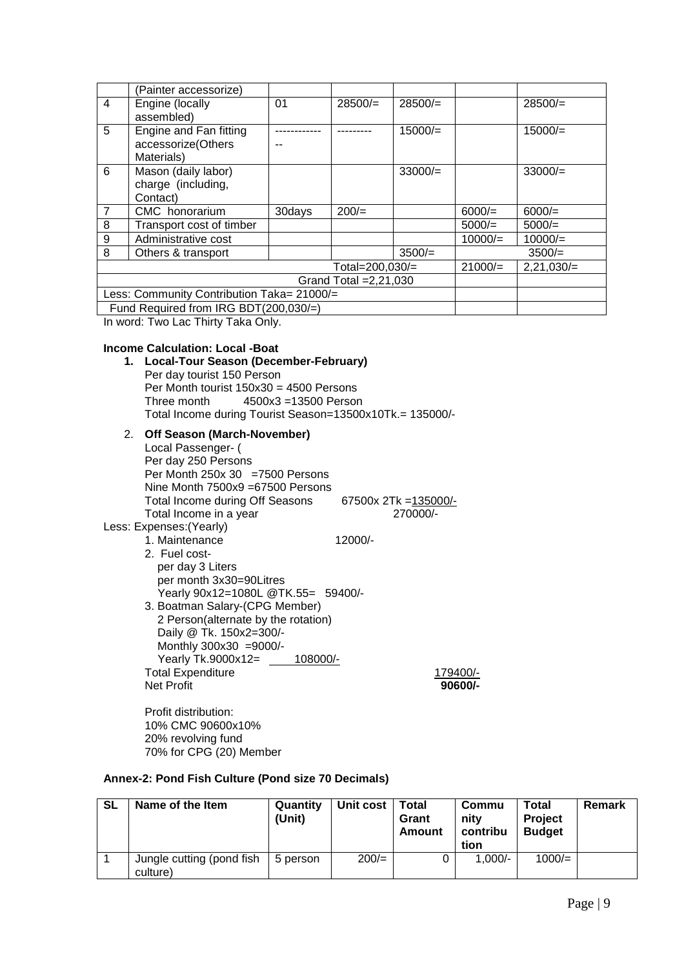|                                            | (Painter accessorize)                 |        |           |           |           |              |
|--------------------------------------------|---------------------------------------|--------|-----------|-----------|-----------|--------------|
| 4                                          | Engine (locally                       | 01     | $28500/=$ | $28500/=$ |           | $28500/=$    |
|                                            | assembled)                            |        |           |           |           |              |
| 5                                          | Engine and Fan fitting                |        |           | $15000/=$ |           | $15000/=$    |
|                                            | accessorize(Others                    |        |           |           |           |              |
|                                            | Materials)                            |        |           |           |           |              |
| 6                                          | Mason (daily labor)                   |        |           | $33000/=$ |           | $33000/=$    |
|                                            | charge (including,                    |        |           |           |           |              |
|                                            | Contact)                              |        |           |           |           |              |
| 7                                          | CMC honorarium                        | 30days | $200/=$   |           | $6000/=$  | $6000/=$     |
| 8                                          | Transport cost of timber              |        |           |           | $5000/=$  | $5000/=$     |
| 9                                          | Administrative cost                   |        |           |           | $10000/=$ | $10000/=$    |
| 8                                          | Others & transport                    |        |           | 3500/     |           | 3500/        |
| Total=200.030/=                            |                                       |        |           |           |           | $2,21,030/=$ |
| Grand Total $=2,21,030$                    |                                       |        |           |           |           |              |
| Less: Community Contribution Taka= 21000/= |                                       |        |           |           |           |              |
|                                            | Fund Required from IRG BDT(200,030/=) |        |           |           |           |              |

In word: Two Lac Thirty Taka Only.

## **Income Calculation: Local -Boat**

**1. Local-Tour Season (December-February)**  Per day tourist 150 Person Per Month tourist 150x30 = 4500 Persons Three month 4500x3 =13500 Person Total Income during Tourist Season=13500x10Tk.= 135000/-

## 2. **Off Season (March-November)**

| Local Passenger- (                  |                       |
|-------------------------------------|-----------------------|
| Per day 250 Persons                 |                       |
| Per Month $250x 30 = 7500$ Persons  |                       |
| Nine Month 7500x9 =67500 Persons    |                       |
| Total Income during Off Seasons     | 67500x 2Tk = 135000/- |
| Total Income in a year              | 270000/-              |
| Less: Expenses: (Yearly)            |                       |
| 1. Maintenance                      | 12000/-               |
| 2. Fuel cost-                       |                       |
| per day 3 Liters                    |                       |
| per month 3x30=90Litres             |                       |
| Yearly 90x12=1080L @TK.55= 59400/-  |                       |
| 3. Boatman Salary-(CPG Member)      |                       |
| 2 Person(alternate by the rotation) |                       |
| Daily @ Tk. 150x2=300/-             |                       |
| Monthly 300x30 =9000/-              |                       |
| Yearly Tk.9000x12= 108000/-         |                       |
| <b>Total Expenditure</b>            | 179400/-              |
| <b>Net Profit</b>                   | 90600/-               |
|                                     |                       |
|                                     |                       |

Profit distribution: 10% CMC 90600x10% 20% revolving fund 70% for CPG (20) Member

## **Annex-2: Pond Fish Culture (Pond size 70 Decimals)**

| <b>SL</b> | Name of the Item                      | Quantity<br>(Unit) | <b>Unit cost</b> | Total<br>Grant<br>Amount | Commu<br>nitv<br>contribu<br>tion | Total<br>Project<br><b>Budget</b> | Remark |
|-----------|---------------------------------------|--------------------|------------------|--------------------------|-----------------------------------|-----------------------------------|--------|
|           | Jungle cutting (pond fish<br>culture) | 5 person           | $200/=$          | 0                        | $1,000/-$                         | 1000/                             |        |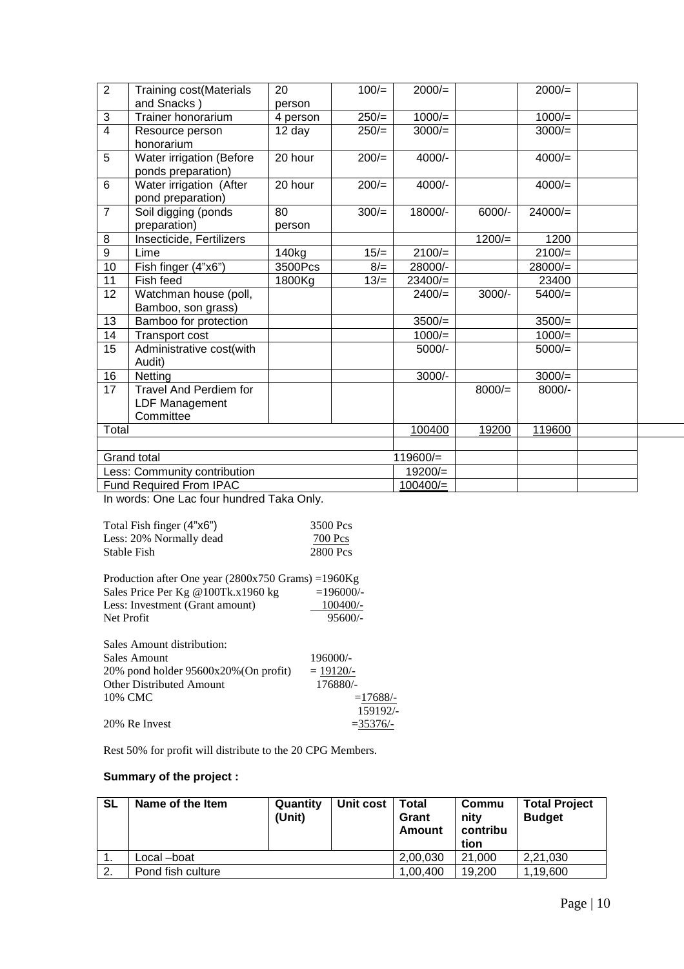| $\overline{2}$ | <b>Training cost(Materials</b><br>and Snacks)                | 20<br>person | $100/=$ | $2000/=$   |          | $2000/=$  |  |
|----------------|--------------------------------------------------------------|--------------|---------|------------|----------|-----------|--|
| $\mathbf{3}$   | <b>Trainer honorarium</b>                                    | 4 person     | $250/=$ | $1000/=$   |          | $1000/=$  |  |
| $\overline{4}$ | Resource person<br>honorarium                                | 12 day       | $250/=$ | $3000/=$   |          | $3000/=$  |  |
| $\overline{5}$ | Water irrigation (Before<br>ponds preparation)               | 20 hour      | $200/=$ | 4000/-     |          | 4000/     |  |
| $6\phantom{1}$ | Water irrigation (After<br>pond preparation)                 | 20 hour      | $200/=$ | 4000/-     |          | $4000/=$  |  |
| $\overline{7}$ | Soil digging (ponds<br>preparation)                          | 80<br>person | $300/=$ | 18000/-    | 6000/-   | $24000/=$ |  |
| 8              | Insecticide, Fertilizers                                     |              |         |            | $1200/=$ | 1200      |  |
| $\overline{9}$ | Lime                                                         | 140kg        | $15/=$  | $2100/=$   |          | $2100/=$  |  |
| 10             | Fish finger (4"x6")                                          | 3500Pcs      | $8/=$   | 28000/-    |          | $28000/=$ |  |
| 11             | Fish feed                                                    | 1800Kg       | $13/=$  | $23400/=$  |          | 23400     |  |
| 12             | Watchman house (poll,<br>Bamboo, son grass)                  |              |         | $2400/=$   | $3000/-$ | 5400/     |  |
| 13             | Bamboo for protection                                        |              |         | $3500/=$   |          | $3500/=$  |  |
| 14             | Transport cost                                               |              |         | $1000/=$   |          | $1000/=$  |  |
| 15             | Administrative cost(with<br>Audit)                           |              |         | 5000/-     |          | $5000/=$  |  |
| 16             | Netting                                                      |              |         | $3000/-$   |          | $3000/=$  |  |
| 17             | <b>Travel And Perdiem for</b><br>LDF Management<br>Committee |              |         |            | $8000/=$ | 8000/-    |  |
| Total          |                                                              |              |         | 100400     | 19200    | 119600    |  |
|                |                                                              |              |         |            |          |           |  |
|                | <b>Grand total</b>                                           |              |         | $119600/=$ |          |           |  |
|                | Less: Community contribution                                 |              |         | $19200/=$  |          |           |  |
|                | Fund Required From IPAC                                      |              |         | 100400/    |          |           |  |

In words: One Lac four hundred Taka Only.

| Total Fish finger (4"x6") | 3500 Pcs |
|---------------------------|----------|
| Less: 20% Normally dead   | 700 Pcs  |
| Stable Fish               | 2800 Pcs |

| Production after One year $(2800x750 \text{ Grams}) = 1960 \text{Kg}$ |             |
|-----------------------------------------------------------------------|-------------|
| Sales Price Per Kg @100Tk.x1960 kg                                    | $=196000/-$ |
| Less: Investment (Grant amount)                                       | $100400/-$  |
| Net Profit                                                            | $95600/-$   |
|                                                                       |             |
| Sales Amount distribution:                                            |             |
| Sales Amount                                                          | 196000/-    |
| 20% pond holder 95600x20% (On profit)                                 | $= 19120/-$ |
| <b>Other Distributed Amount</b>                                       | 176880/-    |
| 10% CMC                                                               | $=17688/$   |
|                                                                       | 159192/-    |
| 20% Re Invest                                                         | $= 35376/$  |
|                                                                       |             |

Rest 50% for profit will distribute to the 20 CPG Members.

## **Summary of the project :**

| <b>SL</b> | Name of the Item  | Quantity<br>(Unit) | Unit cost | Total<br><b>Grant</b><br>Amount | Commu<br>nity<br>contribu<br>tion | <b>Total Project</b><br><b>Budget</b> |
|-----------|-------------------|--------------------|-----------|---------------------------------|-----------------------------------|---------------------------------------|
| 1.        | Local -boat       |                    |           | 2,00,030                        | 21,000                            | 2,21,030                              |
| 2.        | Pond fish culture |                    |           | 1.00.400                        | 19.200                            | 1,19,600                              |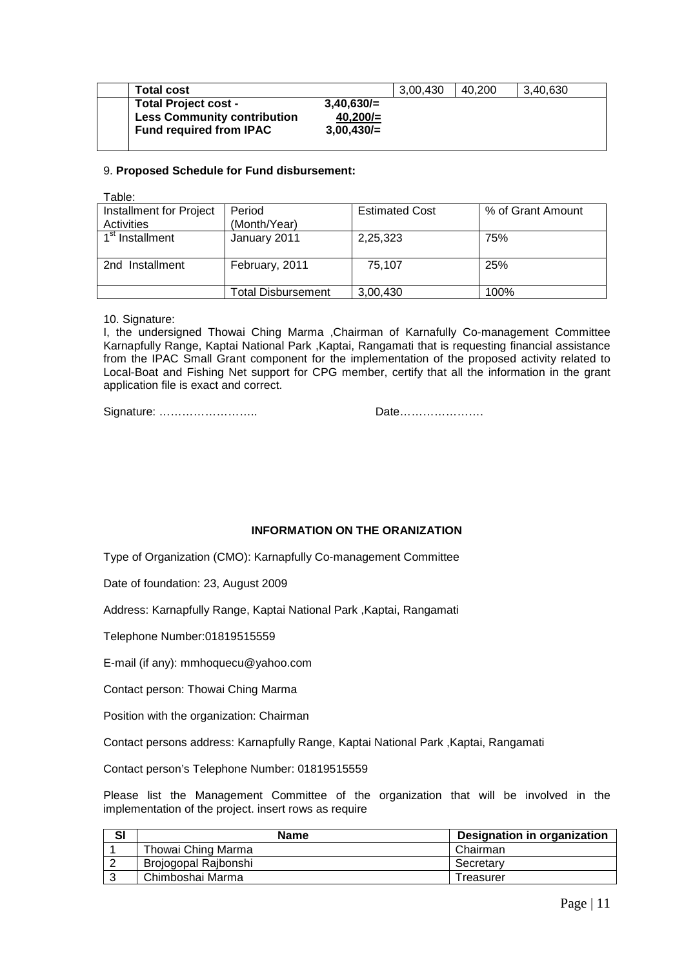| $3.40.630 =$<br><b>Total Project cost -</b><br><b>Less Community contribution</b><br>$40.200 =$ | Total cost | 3,00,430 | 40.200 | 3.40.630 |  |
|-------------------------------------------------------------------------------------------------|------------|----------|--------|----------|--|
|                                                                                                 |            |          |        |          |  |
|                                                                                                 |            |          |        |          |  |
| $3,00,430/=$<br><b>Fund required from IPAC</b>                                                  |            |          |        |          |  |

#### 9. **Proposed Schedule for Fund disbursement:**

| Table:                      |                                |                       |                   |
|-----------------------------|--------------------------------|-----------------------|-------------------|
| Installment for Project     | Period                         | <b>Estimated Cost</b> | % of Grant Amount |
| Activities                  | (Month/Year)                   |                       |                   |
| 1 <sup>st</sup> Installment | January 2011                   | 2,25,323              | 75%               |
|                             |                                |                       |                   |
| 2nd Installment             | February, 2011                 | 75,107                | 25%               |
|                             |                                |                       |                   |
|                             | <sup>r</sup> otal Disbursement | 3,00,430              | 100%              |

10. Signature:

I, the undersigned Thowai Ching Marma ,Chairman of Karnafully Co-management Committee Karnapfully Range, Kaptai National Park ,Kaptai, Rangamati that is requesting financial assistance from the IPAC Small Grant component for the implementation of the proposed activity related to Local-Boat and Fishing Net support for CPG member, certify that all the information in the grant application file is exact and correct.

Signature: …………………….. Date………………….

## **INFORMATION ON THE ORANIZATION**

Type of Organization (CMO): Karnapfully Co-management Committee

Date of foundation: 23, August 2009

Address: Karnapfully Range, Kaptai National Park ,Kaptai, Rangamati

Telephone Number:01819515559

E-mail (if any): mmhoquecu@yahoo.com

Contact person: Thowai Ching Marma

Position with the organization: Chairman

Contact persons address: Karnapfully Range, Kaptai National Park ,Kaptai, Rangamati

Contact person's Telephone Number: 01819515559

Please list the Management Committee of the organization that will be involved in the implementation of the project. insert rows as require

| SI | <b>Name</b>          | <b>Designation in organization</b> |
|----|----------------------|------------------------------------|
|    | Thowai Ching Marma   | Chairman                           |
|    | Brojogopal Rajbonshi | Secretary                          |
|    | Chimboshai Marma     | Treasurer                          |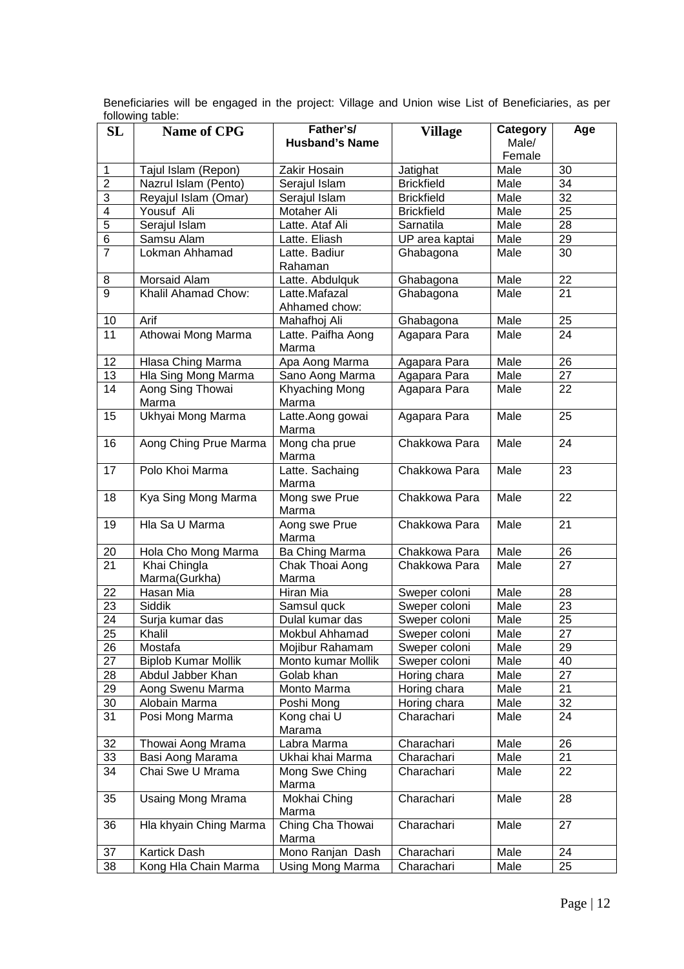| SL                    | <b>Name of CPG</b>                    | Father's/<br><b>Husband's Name</b> | <b>Village</b>                 | Category<br>Male/ | Age                   |
|-----------------------|---------------------------------------|------------------------------------|--------------------------------|-------------------|-----------------------|
|                       |                                       |                                    |                                | Female            |                       |
| 1                     | Tajul Islam (Repon)                   | Zakir Hosain                       | Jatighat                       | Male              | 30                    |
| $\overline{2}$        | Nazrul Islam (Pento)                  | Serajul Islam                      | <b>Brickfield</b>              | Male              | 34                    |
| 3                     | Reyajul Islam (Omar)                  | Serajul Islam                      | <b>Brickfield</b>              | Male              | $\overline{32}$       |
| 4                     | Yousuf Ali                            | Motaher Ali                        | <b>Brickfield</b>              | Male              | $\overline{25}$       |
| $\overline{5}$        | Serajul Islam                         | Latte. Ataf Ali                    | Sarnatila                      | Male              | 28                    |
| $\overline{6}$        | Samsu Alam                            | Latte. Eliash                      | UP area kaptai                 | Male              | 29                    |
| $\overline{7}$        | Lokman Ahhamad                        | Latte. Badiur                      | Ghabagona                      | Male              | 30                    |
|                       |                                       | Rahaman                            |                                |                   |                       |
| 8                     | Morsaid Alam                          | Latte. Abdulquk                    | Ghabagona                      | Male              | 22                    |
| $\overline{9}$        | Khalil Ahamad Chow:                   | Latte.Mafazal                      | Ghabagona                      | Male              | 21                    |
|                       |                                       | Ahhamed chow:                      |                                |                   |                       |
| 10                    | Arif                                  | Mahafhoj Ali                       | Ghabagona                      | Male              | 25                    |
| 11                    | Athowai Mong Marma                    | Latte. Paifha Aong                 | Agapara Para                   | Male              | 24                    |
|                       |                                       | Marma                              |                                |                   |                       |
| 12                    | Hlasa Ching Marma                     | Apa Aong Marma                     | Agapara Para                   | Male              | 26                    |
| 13                    | Hla Sing Mong Marma                   | Sano Aong Marma                    | Agapara Para                   | Male              | 27                    |
| 14                    | Aong Sing Thowai                      | Khyaching Mong                     | Agapara Para                   | Male              | 22                    |
|                       | Marma                                 | Marma                              |                                |                   |                       |
| 15                    | Ukhyai Mong Marma                     | Latte.Aong gowai                   | Agapara Para                   | Male              | 25                    |
|                       |                                       | Marma                              |                                |                   |                       |
| 16                    | Aong Ching Prue Marma                 | Mong cha prue<br>Marma             | Chakkowa Para                  | Male              | 24                    |
| 17                    | Polo Khoi Marma                       | Latte. Sachaing<br>Marma           | Chakkowa Para                  | Male              | 23                    |
| 18                    | Kya Sing Mong Marma                   | Mong swe Prue                      | Chakkowa Para                  | Male              | 22                    |
|                       |                                       | Marma                              |                                |                   |                       |
| 19                    | Hla Sa U Marma                        | Aong swe Prue                      | Chakkowa Para                  | Male              | 21                    |
|                       |                                       | Marma                              |                                |                   |                       |
| 20                    | Hola Cho Mong Marma                   | Ba Ching Marma                     | Chakkowa Para                  | Male              | 26                    |
| 21                    | Khai Chingla                          | Chak Thoai Aong                    | Chakkowa Para                  | Male              | 27                    |
|                       | Marma(Gurkha)<br>Hasan Mia            | Marma                              |                                |                   |                       |
| 22<br>$\overline{23}$ | <b>Siddik</b>                         | Hiran Mia                          | Sweper coloni                  | Male<br>Male      | 28<br>$\overline{23}$ |
| $\overline{24}$       |                                       | Samsul quck<br>Dulal kumar das     | Sweper coloni                  |                   | $\overline{25}$       |
| $\overline{25}$       | Surja kumar das<br>Khalil             | Mokbul Ahhamad                     | Sweper coloni                  | Male              | 27                    |
| 26                    |                                       | Mojibur Rahamam                    | Sweper coloni                  | Male              | 29                    |
| 27                    | Mostafa<br><b>Biplob Kumar Mollik</b> | Monto kumar Mollik                 | Sweper coloni<br>Sweper coloni | Male<br>Male      | 40                    |
| 28                    | Abdul Jabber Khan                     | Golab khan                         | Horing chara                   | Male              | 27                    |
| 29                    | Aong Swenu Marma                      | Monto Marma                        | Horing chara                   | Male              | 21                    |
| 30                    | Alobain Marma                         | Poshi Mong                         | Horing chara                   | Male              | 32                    |
| 31                    | Posi Mong Marma                       | Kong chai U                        | Charachari                     | Male              | 24                    |
|                       |                                       | Marama                             |                                |                   |                       |
| 32                    | Thowai Aong Mrama                     | Labra Marma                        | Charachari                     | Male              | 26                    |
| 33                    | Basi Aong Marama                      | Ukhai khai Marma                   | Charachari                     | Male              | 21                    |
| 34                    | Chai Swe U Mrama                      | Mong Swe Ching                     | Charachari                     | Male              | 22                    |
|                       |                                       | Marma                              |                                |                   |                       |
| 35                    | Usaing Mong Mrama                     | Mokhai Ching                       | Charachari                     | Male              | 28                    |
|                       |                                       | Marma                              |                                |                   |                       |
| 36                    | Hla khyain Ching Marma                | Ching Cha Thowai<br>Marma          | Charachari                     | Male              | 27                    |
| 37                    | Kartick Dash                          | Mono Ranjan Dash                   | Charachari                     | Male              | 24                    |
| 38                    | Kong Hla Chain Marma                  | Using Mong Marma                   | Charachari                     | Male              | 25                    |

Beneficiaries will be engaged in the project: Village and Union wise List of Beneficiaries, as per following table: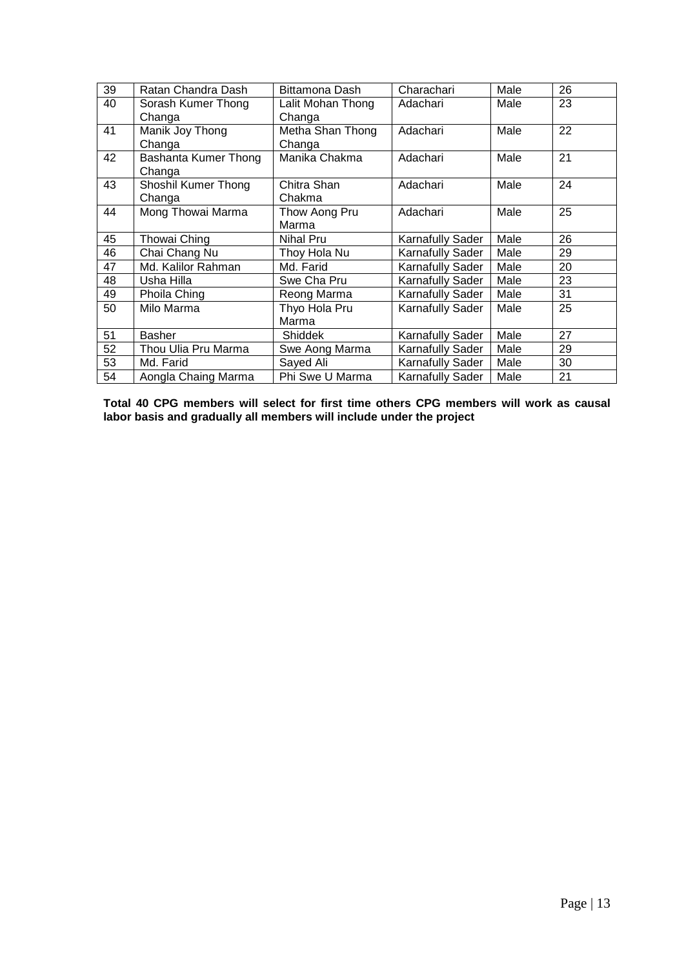| 39 | Ratan Chandra Dash   | Bittamona Dash    | Charachari              | Male | 26 |
|----|----------------------|-------------------|-------------------------|------|----|
| 40 | Sorash Kumer Thong   | Lalit Mohan Thong | Adachari                | Male | 23 |
|    | Changa               | Changa            |                         |      |    |
| 41 | Manik Joy Thong      | Metha Shan Thong  | Adachari                | Male | 22 |
|    | Changa               | Changa            |                         |      |    |
| 42 | Bashanta Kumer Thong | Manika Chakma     | Adachari                | Male | 21 |
|    | Changa               |                   |                         |      |    |
| 43 | Shoshil Kumer Thong  | Chitra Shan       | Adachari                | Male | 24 |
|    | Changa               | Chakma            |                         |      |    |
| 44 | Mong Thowai Marma    | Thow Aong Pru     | Adachari                | Male | 25 |
|    |                      | Marma             |                         |      |    |
| 45 | Thowai Ching         | Nihal Pru         | <b>Karnafully Sader</b> | Male | 26 |
| 46 | Chai Chang Nu        | Thoy Hola Nu      | <b>Karnafully Sader</b> | Male | 29 |
| 47 | Md. Kalilor Rahman   | Md. Farid         | <b>Karnafully Sader</b> | Male | 20 |
| 48 | Usha Hilla           | Swe Cha Pru       | <b>Karnafully Sader</b> | Male | 23 |
| 49 | Phoila Ching         | Reong Marma       | <b>Karnafully Sader</b> | Male | 31 |
| 50 | Milo Marma           | Thyo Hola Pru     | <b>Karnafully Sader</b> | Male | 25 |
|    |                      | Marma             |                         |      |    |
| 51 | <b>Basher</b>        | <b>Shiddek</b>    | <b>Karnafully Sader</b> | Male | 27 |
| 52 | Thou Ulia Pru Marma  | Swe Aong Marma    | Karnafully Sader        | Male | 29 |
| 53 | Md. Farid            | Sayed Ali         | <b>Karnafully Sader</b> | Male | 30 |
| 54 | Aongla Chaing Marma  | Phi Swe U Marma   | Karnafully Sader        | Male | 21 |

**Total 40 CPG members will select for first time others CPG members will work as causal labor basis and gradually all members will include under the project**